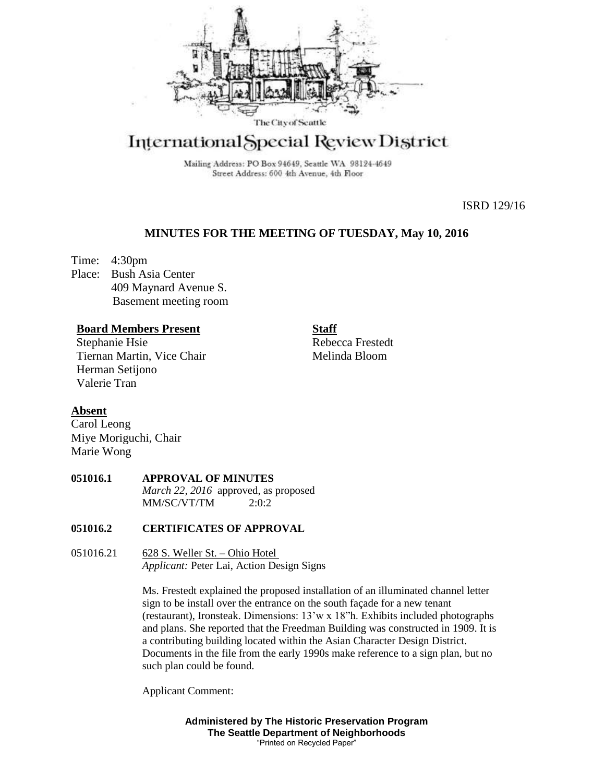

# International Special Review District

Mailing Address: PO Box 94649, Seattle WA 98124-4649 Street Address: 600 4th Avenue, 4th Floor

ISRD 129/16

## **MINUTES FOR THE MEETING OF TUESDAY, May 10, 2016**

Time: 4:30pm Place: Bush Asia Center 409 Maynard Avenue S. Basement meeting room

### **Board Members Present**

Stephanie Hsie Tiernan Martin, Vice Chair Herman Setijono Valerie Tran

Rebecca Frestedt Melinda Bloom

**Staff**

# **Absent**

Carol Leong Miye Moriguchi, Chair Marie Wong

### **051016.1 APPROVAL OF MINUTES** *March 22, 2016* approved, as proposed  $MM/SC/VT/TM$  2:0:2

#### **051016.2 CERTIFICATES OF APPROVAL**

051016.21 628 S. Weller St. – Ohio Hotel *Applicant:* Peter Lai, Action Design Signs

> Ms. Frestedt explained the proposed installation of an illuminated channel letter sign to be install over the entrance on the south façade for a new tenant (restaurant), Ironsteak. Dimensions: 13'w x 18"h. Exhibits included photographs and plans. She reported that the Freedman Building was constructed in 1909. It is a contributing building located within the Asian Character Design District. Documents in the file from the early 1990s make reference to a sign plan, but no such plan could be found.

Applicant Comment:

**Administered by The Historic Preservation Program The Seattle Department of Neighborhoods** "Printed on Recycled Paper"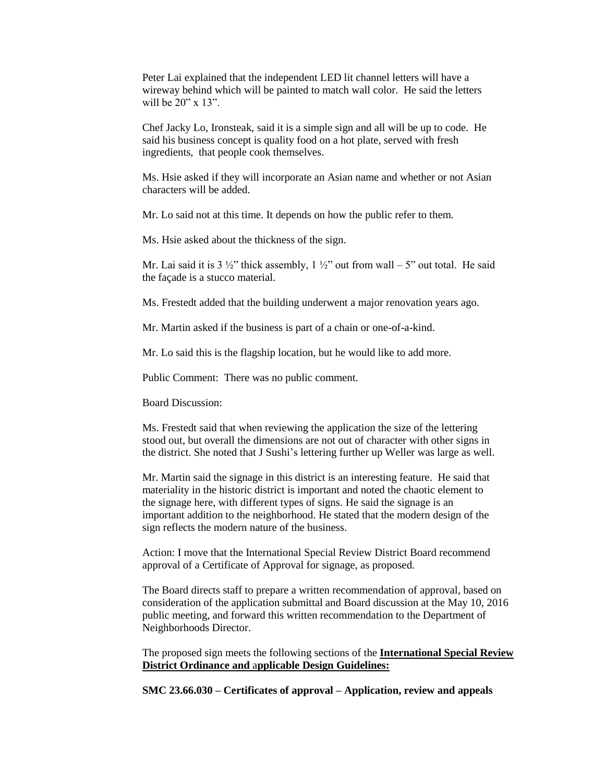Peter Lai explained that the independent LED lit channel letters will have a wireway behind which will be painted to match wall color. He said the letters will be 20" x 13".

Chef Jacky Lo, Ironsteak, said it is a simple sign and all will be up to code. He said his business concept is quality food on a hot plate, served with fresh ingredients, that people cook themselves.

Ms. Hsie asked if they will incorporate an Asian name and whether or not Asian characters will be added.

Mr. Lo said not at this time. It depends on how the public refer to them.

Ms. Hsie asked about the thickness of the sign.

Mr. Lai said it is 3  $\frac{1}{2}$ " thick assembly, 1  $\frac{1}{2}$ " out from wall – 5" out total. He said the façade is a stucco material.

Ms. Frestedt added that the building underwent a major renovation years ago.

Mr. Martin asked if the business is part of a chain or one-of-a-kind.

Mr. Lo said this is the flagship location, but he would like to add more.

Public Comment: There was no public comment.

Board Discussion:

Ms. Frestedt said that when reviewing the application the size of the lettering stood out, but overall the dimensions are not out of character with other signs in the district. She noted that J Sushi's lettering further up Weller was large as well.

Mr. Martin said the signage in this district is an interesting feature. He said that materiality in the historic district is important and noted the chaotic element to the signage here, with different types of signs. He said the signage is an important addition to the neighborhood. He stated that the modern design of the sign reflects the modern nature of the business.

Action: I move that the International Special Review District Board recommend approval of a Certificate of Approval for signage, as proposed.

The Board directs staff to prepare a written recommendation of approval, based on consideration of the application submittal and Board discussion at the May 10, 2016 public meeting, and forward this written recommendation to the Department of Neighborhoods Director.

The proposed sign meets the following sections of the **International Special Review District Ordinance and** a**pplicable Design Guidelines:**

**SMC 23.66.030 – Certificates of approval – Application, review and appeals**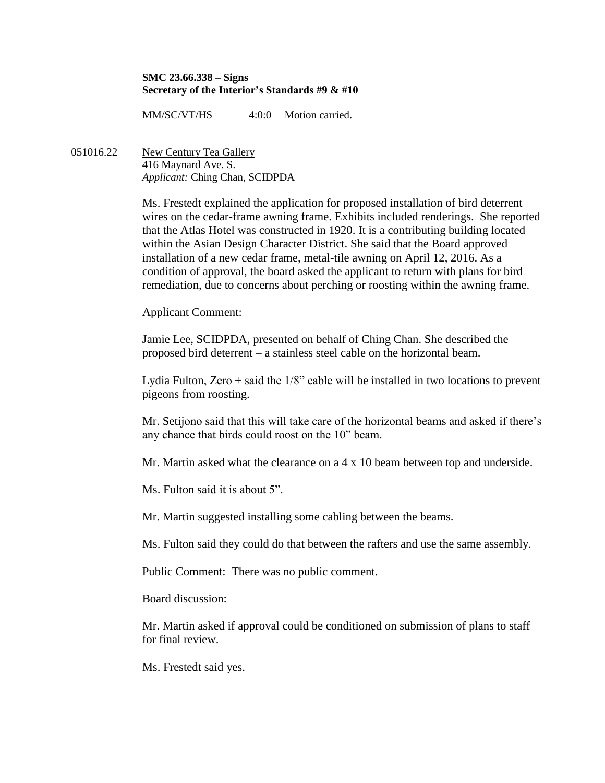#### **SMC 23.66.338 – Signs Secretary of the Interior's Standards #9 & #10**

MM/SC/VT/HS 4:0:0 Motion carried.

051016.22 New Century Tea Gallery 416 Maynard Ave. S. *Applicant:* Ching Chan, SCIDPDA

> Ms. Frestedt explained the application for proposed installation of bird deterrent wires on the cedar-frame awning frame. Exhibits included renderings. She reported that the Atlas Hotel was constructed in 1920. It is a contributing building located within the Asian Design Character District. She said that the Board approved installation of a new cedar frame, metal-tile awning on April 12, 2016. As a condition of approval, the board asked the applicant to return with plans for bird remediation, due to concerns about perching or roosting within the awning frame.

## Applicant Comment:

Jamie Lee, SCIDPDA, presented on behalf of Ching Chan. She described the proposed bird deterrent – a stainless steel cable on the horizontal beam.

Lydia Fulton, Zero  $+$  said the  $1/8$ " cable will be installed in two locations to prevent pigeons from roosting.

Mr. Setijono said that this will take care of the horizontal beams and asked if there's any chance that birds could roost on the 10" beam.

Mr. Martin asked what the clearance on a 4 x 10 beam between top and underside.

Ms. Fulton said it is about 5".

Mr. Martin suggested installing some cabling between the beams.

Ms. Fulton said they could do that between the rafters and use the same assembly.

Public Comment: There was no public comment.

Board discussion:

Mr. Martin asked if approval could be conditioned on submission of plans to staff for final review.

Ms. Frestedt said yes.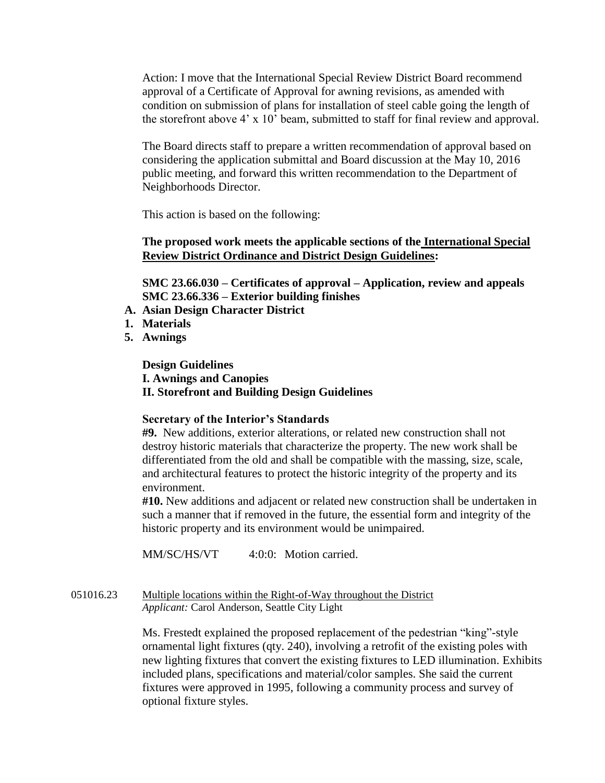Action: I move that the International Special Review District Board recommend approval of a Certificate of Approval for awning revisions, as amended with condition on submission of plans for installation of steel cable going the length of the storefront above 4' x 10' beam, submitted to staff for final review and approval.

The Board directs staff to prepare a written recommendation of approval based on considering the application submittal and Board discussion at the May 10, 2016 public meeting, and forward this written recommendation to the Department of Neighborhoods Director.

This action is based on the following:

## **The proposed work meets the applicable sections of the International Special Review District Ordinance and District Design Guidelines:**

**SMC 23.66.030 – Certificates of approval – Application, review and appeals SMC 23.66.336 – Exterior building finishes**

- **A. Asian Design Character District**
- **1. Materials**
- **5. Awnings**

**Design Guidelines I. Awnings and Canopies II. Storefront and Building Design Guidelines**

## **Secretary of the Interior's Standards**

**#9.** New additions, exterior alterations, or related new construction shall not destroy historic materials that characterize the property. The new work shall be differentiated from the old and shall be compatible with the massing, size, scale, and architectural features to protect the historic integrity of the property and its environment.

**#10.** New additions and adjacent or related new construction shall be undertaken in such a manner that if removed in the future, the essential form and integrity of the historic property and its environment would be unimpaired.

MM/SC/HS/VT 4:0:0: Motion carried.

## 051016.23 Multiple locations within the Right-of-Way throughout the District *Applicant:* Carol Anderson, Seattle City Light

Ms. Frestedt explained the proposed replacement of the pedestrian "king"-style ornamental light fixtures (qty. 240), involving a retrofit of the existing poles with new lighting fixtures that convert the existing fixtures to LED illumination. Exhibits included plans, specifications and material/color samples. She said the current fixtures were approved in 1995, following a community process and survey of optional fixture styles.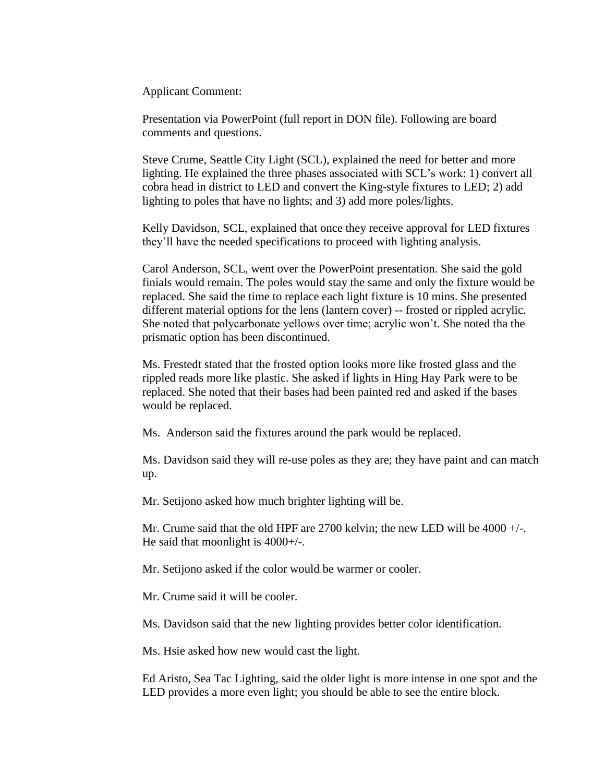Applicant Comment:

Presentation via PowerPoint (full report in DON file). Following are board comments and questions.

Steve Crume, Seattle City Light (SCL), explained the need for better and more lighting. He explained the three phases associated with SCL's work: 1) convert all cobra head in district to LED and convert the King-style fixtures to LED; 2) add lighting to poles that have no lights; and 3) add more poles/lights.

Kelly Davidson, SCL, explained that once they receive approval for LED fixtures they'll have the needed specifications to proceed with lighting analysis.

Carol Anderson, SCL, went over the PowerPoint presentation. She said the gold finials would remain. The poles would stay the same and only the fixture would be replaced. She said the time to replace each light fixture is 10 mins. She presented different material options for the lens (lantern cover) -- frosted or rippled acrylic. She noted that polycarbonate yellows over time; acrylic won't. She noted tha the prismatic option has been discontinued.

Ms. Frestedt stated that the frosted option looks more like frosted glass and the rippled reads more like plastic. She asked if lights in Hing Hay Park were to be replaced. She noted that their bases had been painted red and asked if the bases would be replaced.

Ms. Anderson said the fixtures around the park would be replaced.

Ms. Davidson said they will re-use poles as they are; they have paint and can match up.

Mr. Setijono asked how much brighter lighting will be.

Mr. Crume said that the old HPF are 2700 kelvin; the new LED will be 4000  $+/-$ . He said that moonlight is  $4000+\frac{1}{2}$ .

Mr. Setijono asked if the color would be warmer or cooler.

Mr. Crume said it will be cooler.

Ms. Davidson said that the new lighting provides better color identification.

Ms. Hsie asked how new would cast the light.

Ed Aristo, Sea Tac Lighting, said the older light is more intense in one spot and the LED provides a more even light; you should be able to see the entire block.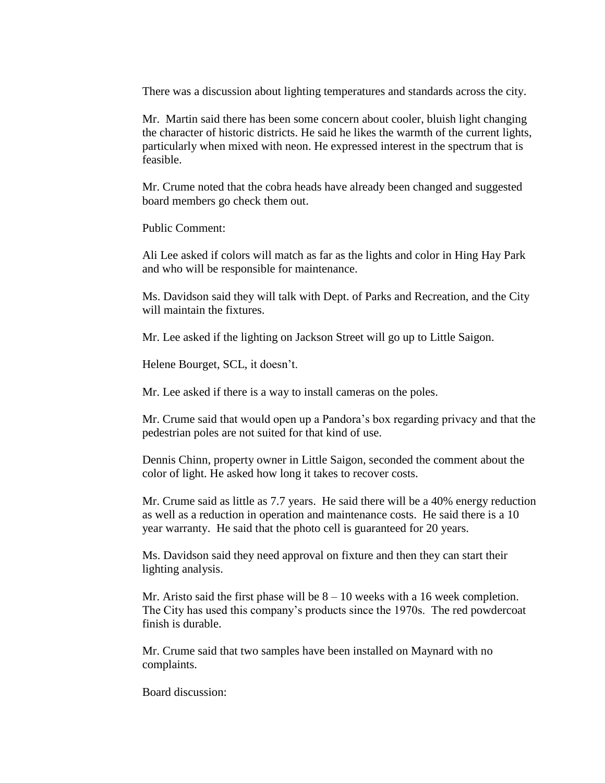There was a discussion about lighting temperatures and standards across the city.

Mr. Martin said there has been some concern about cooler, bluish light changing the character of historic districts. He said he likes the warmth of the current lights, particularly when mixed with neon. He expressed interest in the spectrum that is feasible.

Mr. Crume noted that the cobra heads have already been changed and suggested board members go check them out.

Public Comment:

Ali Lee asked if colors will match as far as the lights and color in Hing Hay Park and who will be responsible for maintenance.

Ms. Davidson said they will talk with Dept. of Parks and Recreation, and the City will maintain the fixtures.

Mr. Lee asked if the lighting on Jackson Street will go up to Little Saigon.

Helene Bourget, SCL, it doesn't.

Mr. Lee asked if there is a way to install cameras on the poles.

Mr. Crume said that would open up a Pandora's box regarding privacy and that the pedestrian poles are not suited for that kind of use.

Dennis Chinn, property owner in Little Saigon, seconded the comment about the color of light. He asked how long it takes to recover costs.

Mr. Crume said as little as 7.7 years. He said there will be a 40% energy reduction as well as a reduction in operation and maintenance costs. He said there is a 10 year warranty. He said that the photo cell is guaranteed for 20 years.

Ms. Davidson said they need approval on fixture and then they can start their lighting analysis.

Mr. Aristo said the first phase will be  $8 - 10$  weeks with a 16 week completion. The City has used this company's products since the 1970s. The red powdercoat finish is durable.

Mr. Crume said that two samples have been installed on Maynard with no complaints.

Board discussion: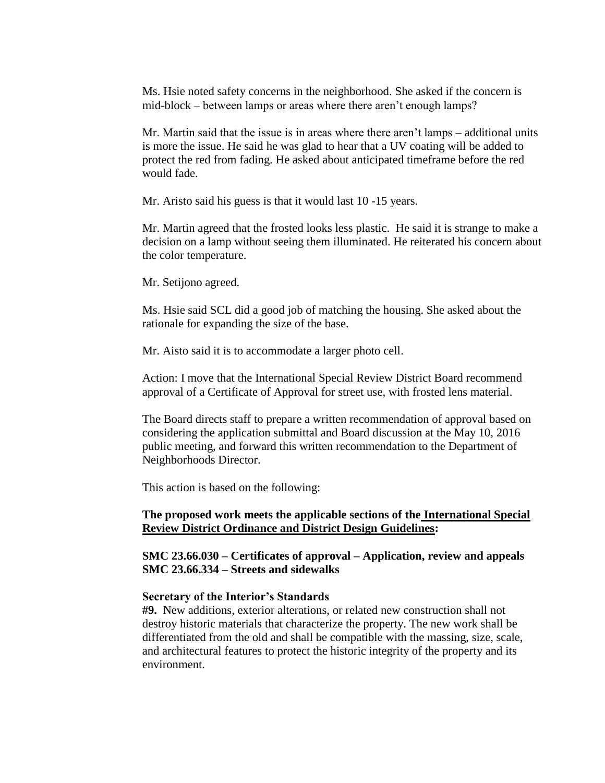Ms. Hsie noted safety concerns in the neighborhood. She asked if the concern is mid-block – between lamps or areas where there aren't enough lamps?

Mr. Martin said that the issue is in areas where there aren't lamps – additional units is more the issue. He said he was glad to hear that a UV coating will be added to protect the red from fading. He asked about anticipated timeframe before the red would fade.

Mr. Aristo said his guess is that it would last 10 -15 years.

Mr. Martin agreed that the frosted looks less plastic. He said it is strange to make a decision on a lamp without seeing them illuminated. He reiterated his concern about the color temperature.

Mr. Setijono agreed.

Ms. Hsie said SCL did a good job of matching the housing. She asked about the rationale for expanding the size of the base.

Mr. Aisto said it is to accommodate a larger photo cell.

Action: I move that the International Special Review District Board recommend approval of a Certificate of Approval for street use, with frosted lens material.

The Board directs staff to prepare a written recommendation of approval based on considering the application submittal and Board discussion at the May 10, 2016 public meeting, and forward this written recommendation to the Department of Neighborhoods Director.

This action is based on the following:

## **The proposed work meets the applicable sections of the International Special Review District Ordinance and District Design Guidelines:**

**SMC 23.66.030 – Certificates of approval – Application, review and appeals SMC 23.66.334 – Streets and sidewalks**

#### **Secretary of the Interior's Standards**

**#9.** New additions, exterior alterations, or related new construction shall not destroy historic materials that characterize the property. The new work shall be differentiated from the old and shall be compatible with the massing, size, scale, and architectural features to protect the historic integrity of the property and its environment.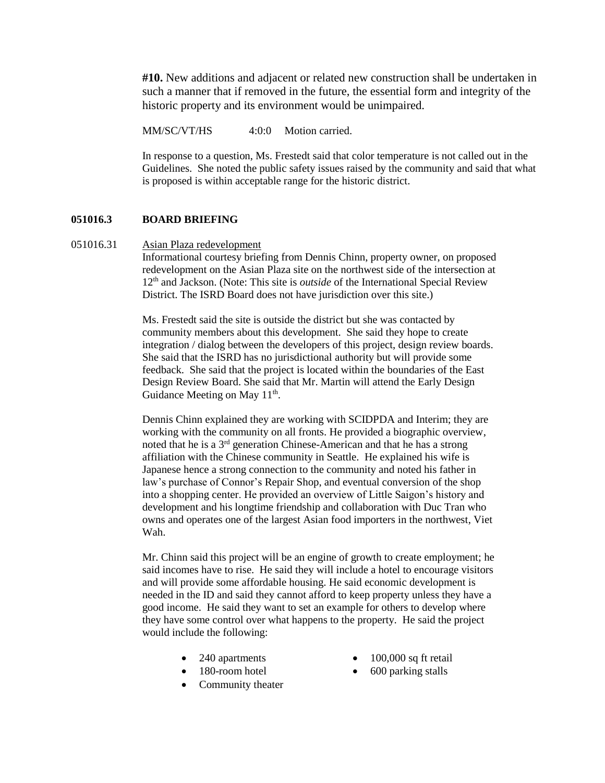**#10.** New additions and adjacent or related new construction shall be undertaken in such a manner that if removed in the future, the essential form and integrity of the historic property and its environment would be unimpaired.

MM/SC/VT/HS 4:0:0 Motion carried.

In response to a question, Ms. Frestedt said that color temperature is not called out in the Guidelines. She noted the public safety issues raised by the community and said that what is proposed is within acceptable range for the historic district.

#### **051016.3 BOARD BRIEFING**

#### 051016.31 Asian Plaza redevelopment

Informational courtesy briefing from Dennis Chinn, property owner, on proposed redevelopment on the Asian Plaza site on the northwest side of the intersection at 12<sup>th</sup> and Jackson. (Note: This site is *outside* of the International Special Review District. The ISRD Board does not have jurisdiction over this site.)

Ms. Frestedt said the site is outside the district but she was contacted by community members about this development. She said they hope to create integration / dialog between the developers of this project, design review boards. She said that the ISRD has no jurisdictional authority but will provide some feedback. She said that the project is located within the boundaries of the East Design Review Board. She said that Mr. Martin will attend the Early Design Guidance Meeting on May 11<sup>th</sup>.

Dennis Chinn explained they are working with SCIDPDA and Interim; they are working with the community on all fronts. He provided a biographic overview, noted that he is a 3rd generation Chinese-American and that he has a strong affiliation with the Chinese community in Seattle. He explained his wife is Japanese hence a strong connection to the community and noted his father in law's purchase of Connor's Repair Shop, and eventual conversion of the shop into a shopping center. He provided an overview of Little Saigon's history and development and his longtime friendship and collaboration with Duc Tran who owns and operates one of the largest Asian food importers in the northwest, Viet Wah.

Mr. Chinn said this project will be an engine of growth to create employment; he said incomes have to rise. He said they will include a hotel to encourage visitors and will provide some affordable housing. He said economic development is needed in the ID and said they cannot afford to keep property unless they have a good income. He said they want to set an example for others to develop where they have some control over what happens to the property. He said the project would include the following:

- 240 apartments
- 180-room hotel
- Community theater
- 100,000 sq ft retail
- 600 parking stalls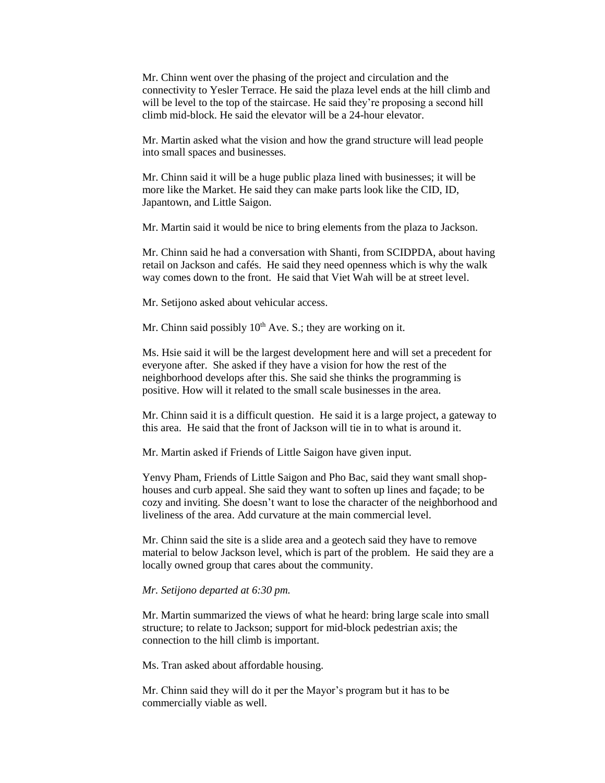Mr. Chinn went over the phasing of the project and circulation and the connectivity to Yesler Terrace. He said the plaza level ends at the hill climb and will be level to the top of the staircase. He said they're proposing a second hill climb mid-block. He said the elevator will be a 24-hour elevator.

Mr. Martin asked what the vision and how the grand structure will lead people into small spaces and businesses.

Mr. Chinn said it will be a huge public plaza lined with businesses; it will be more like the Market. He said they can make parts look like the CID, ID, Japantown, and Little Saigon.

Mr. Martin said it would be nice to bring elements from the plaza to Jackson.

Mr. Chinn said he had a conversation with Shanti, from SCIDPDA, about having retail on Jackson and cafés. He said they need openness which is why the walk way comes down to the front. He said that Viet Wah will be at street level.

Mr. Setijono asked about vehicular access.

Mr. Chinn said possibly  $10<sup>th</sup>$  Ave. S.; they are working on it.

Ms. Hsie said it will be the largest development here and will set a precedent for everyone after. She asked if they have a vision for how the rest of the neighborhood develops after this. She said she thinks the programming is positive. How will it related to the small scale businesses in the area.

Mr. Chinn said it is a difficult question. He said it is a large project, a gateway to this area. He said that the front of Jackson will tie in to what is around it.

Mr. Martin asked if Friends of Little Saigon have given input.

Yenvy Pham, Friends of Little Saigon and Pho Bac, said they want small shophouses and curb appeal. She said they want to soften up lines and façade; to be cozy and inviting. She doesn't want to lose the character of the neighborhood and liveliness of the area. Add curvature at the main commercial level.

Mr. Chinn said the site is a slide area and a geotech said they have to remove material to below Jackson level, which is part of the problem. He said they are a locally owned group that cares about the community.

#### *Mr. Setijono departed at 6:30 pm.*

Mr. Martin summarized the views of what he heard: bring large scale into small structure; to relate to Jackson; support for mid-block pedestrian axis; the connection to the hill climb is important.

Ms. Tran asked about affordable housing.

Mr. Chinn said they will do it per the Mayor's program but it has to be commercially viable as well.